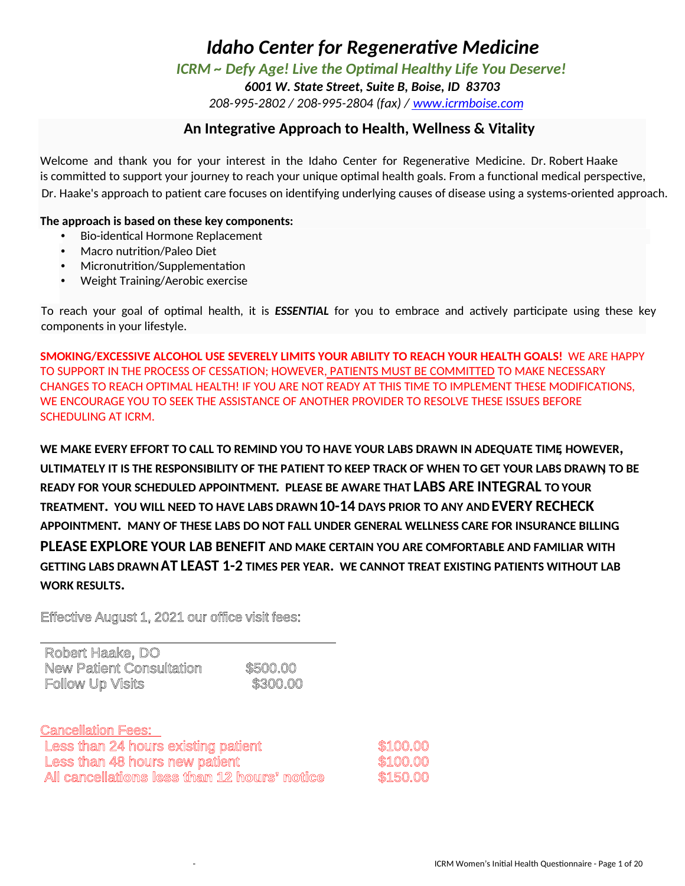*ICRM ~ Defy Age! Live the Optimal Healthy Life You Deserve!* 

*6001 W. State Street, Suite B, Boise, ID 83703* 

*208-995-2802 / 208-995-2804 (fax) / www.icrmboise.com*

### **An Integrative Approach to Health, Wellness & Vitality**

Welcome and thank you for your interest in the Idaho Center for Regenerative Medicine. Dr. Robert Haake is committed to support your journey to reach your unique optimal health goals. From a functional medical perspective, Dr. Haake's approach to patient care focuses on identifying underlying causes of disease using a systems-oriented approach.

### **The approach is based on these key components:**

- Bio-identical Hormone Replacement
- Macro nutrition/Paleo Diet
- Micronutrition/Supplementation
- Weight Training/Aerobic exercise

To reach your goal of optimal health, it is *ESSENTIAL* for you to embrace and actively participate using these key components in your lifestyle.

**SMOKING/EXCESSIVE ALCOHOL USE SEVERELY LIMITS YOUR ABILITY TO REACH YOUR HEALTH GOALS!** WE ARE HAPPY TO SUPPORT IN THE PROCESS OF CESSATION; HOWEVER, PATIENTS MUST BE COMMITTED TO MAKE NECESSARY CHANGES TO REACH OPTIMAL HEALTH! IF YOU ARE NOT READY AT THIS TIME TO IMPLEMENT THESE MODIFICATIONS, WE ENCOURAGE YOU TO SEEK THE ASSISTANCE OF ANOTHER PROVIDER TO RESOLVE THESE ISSUES BEFORE SCHEDULING AT ICRM.

**WE MAKE EVERY EFFORT TO CALL TO REMIND YOU TO HAVE YOUR LABS DRAWN IN ADEQUATE TIME, HOWEVER, ULTIMATELY IT IS THE RESPONSIBILITY OF THE PATIENT TO KEEP TRACK OF WHEN TO GET YOUR LABS DRAWN, TO BE READY FOR YOUR SCHEDULED APPOINTMENT. PLEASE BE AWARE THAT LABS ARE INTEGRAL TO YOUR TREATMENT. YOU WILL NEED TO HAVE LABS DRAWN 10-14 DAYS PRIOR TO ANY AND EVERY RECHECK APPOINTMENT. MANY OF THESE LABS DO NOT FALL UNDER GENERAL WELLNESS CARE FOR INSURANCE BILLING. PLEASE EXPLORE YOUR LAB BENEFIT AND MAKE CERTAIN YOU ARE COMFORTABLE AND FAMILIAR WITH GETTING LABS DRAWN AT LEAST 1-2 TIMES PER YEAR. WE CANNOT TREAT EXISTING PATIENTS WITHOUT LAB WORK RESULTS.** 

Effective August 1, 2021 our office visit fees:

| Robert Haake, DO         |          |
|--------------------------|----------|
| New Patient Consultation | \$500.00 |
| Follow Up Visits         | \$300.00 |

| <b>Cancellation Fees:</b>                    |          |
|----------------------------------------------|----------|
| Less than 24 hours existing patient          | \$100.00 |
| Less than 48 hours new patient               | \$100.00 |
| All cancellations less than 12 hours' notice | \$150.00 |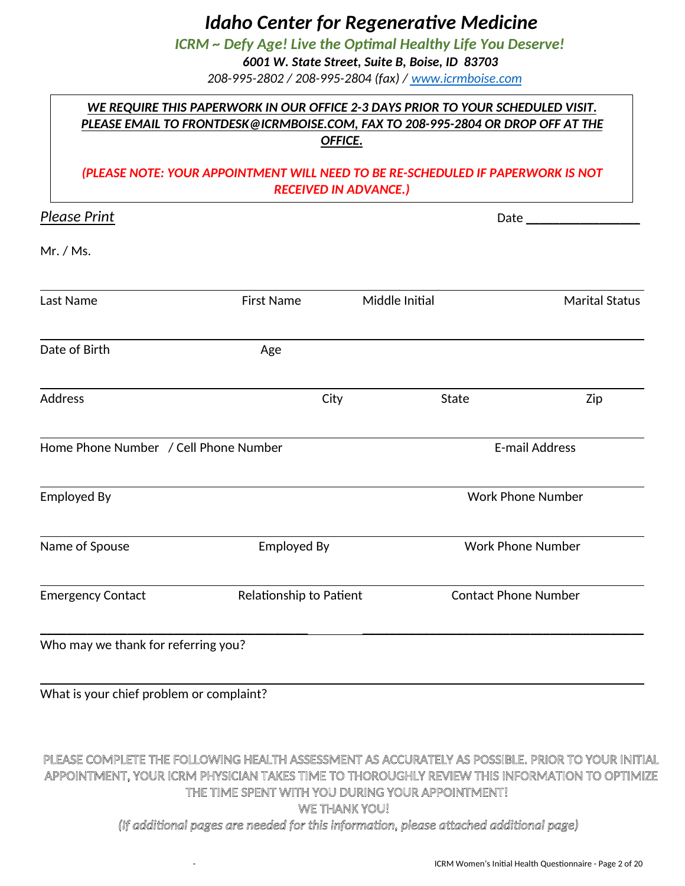*ICRM ~ Defy Age! Live the Optimal Healthy Life You Deserve!* 

*6001 W. State Street, Suite B, Boise, ID 83703* 

*208-995-2802 / 208-995-2804 (fax) / www.icrmboise.com*

# *WE REQUIRE THIS PAPERWORK IN OUR OFFICE 2-3 DAYS PRIOR TO YOUR SCHEDULED VISIT. PLEASE EMAIL TO FRONTDESK@ICRMBOISE.COM, FAX TO 208-995-2804 OR DROP OFF AT THE OFFICE.*

### *(PLEASE NOTE: YOUR APPOINTMENT WILL NEED TO BE RE-SCHEDULED IF PAPERWORK IS NOT RECEIVED IN ADVANCE.)*

| <b>Please Print</b>                   |                         |      | Date ______              |                             |  |  |
|---------------------------------------|-------------------------|------|--------------------------|-----------------------------|--|--|
| Mr. / Ms.                             |                         |      |                          |                             |  |  |
| Last Name                             | <b>First Name</b>       |      | Middle Initial           | <b>Marital Status</b>       |  |  |
| Date of Birth                         | Age                     |      |                          |                             |  |  |
| <b>Address</b>                        |                         | City | State                    | Zip                         |  |  |
| Home Phone Number / Cell Phone Number |                         |      |                          | <b>E-mail Address</b>       |  |  |
| <b>Employed By</b>                    |                         |      |                          | <b>Work Phone Number</b>    |  |  |
| Name of Spouse                        | <b>Employed By</b>      |      | <b>Work Phone Number</b> |                             |  |  |
| <b>Emergency Contact</b>              | Relationship to Patient |      |                          | <b>Contact Phone Number</b> |  |  |
| Who may we thank for referring you?   |                         |      |                          |                             |  |  |

What is your chief problem or complaint?

# PLEASE COMPLETE THE FOLLOWING HEALTH ASSESSMENT AS ACCURATELY AS POSSIBLE. PRIOR TO YOUR INITIAL APPOINTMENT, YOUR ICRM PHYSICIAN TAKES TIME TO THOROUGHLY REVIEW THIS INFORMATION TO OPTIMIZE THE TIME SPENT WITH YOU DURING YOUR APPOINTMENT! WE THANK YOU!

*(If additional pages are needed for this information, please attached additional page)*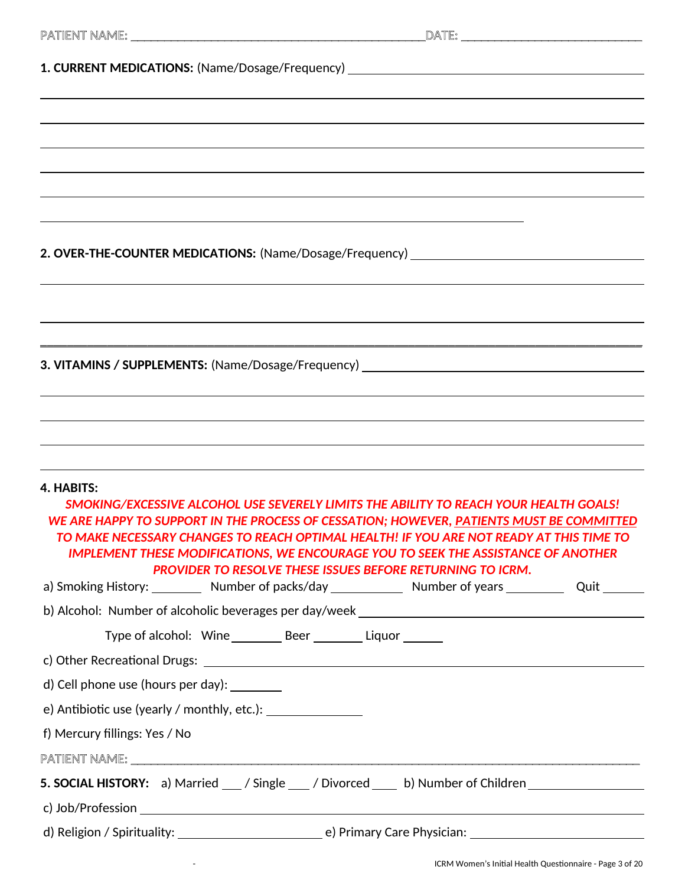| 1. CURRENT MEDICATIONS: (Name/Dosage/Frequency) ________________________________                                                                                                                                                                                                                                                                                                                                                                                                                      |                                                                   |  |
|-------------------------------------------------------------------------------------------------------------------------------------------------------------------------------------------------------------------------------------------------------------------------------------------------------------------------------------------------------------------------------------------------------------------------------------------------------------------------------------------------------|-------------------------------------------------------------------|--|
|                                                                                                                                                                                                                                                                                                                                                                                                                                                                                                       |                                                                   |  |
|                                                                                                                                                                                                                                                                                                                                                                                                                                                                                                       |                                                                   |  |
|                                                                                                                                                                                                                                                                                                                                                                                                                                                                                                       |                                                                   |  |
|                                                                                                                                                                                                                                                                                                                                                                                                                                                                                                       |                                                                   |  |
|                                                                                                                                                                                                                                                                                                                                                                                                                                                                                                       |                                                                   |  |
|                                                                                                                                                                                                                                                                                                                                                                                                                                                                                                       |                                                                   |  |
| 2. OVER-THE-COUNTER MEDICATIONS: (Name/Dosage/Frequency)                                                                                                                                                                                                                                                                                                                                                                                                                                              |                                                                   |  |
|                                                                                                                                                                                                                                                                                                                                                                                                                                                                                                       |                                                                   |  |
|                                                                                                                                                                                                                                                                                                                                                                                                                                                                                                       |                                                                   |  |
| <u> 1989 - Johann Harry Barn, mars ar brenin beskriuwer yn de ferfinning yn de ferfinning yn de ferfinning yn de</u>                                                                                                                                                                                                                                                                                                                                                                                  |                                                                   |  |
|                                                                                                                                                                                                                                                                                                                                                                                                                                                                                                       |                                                                   |  |
| 3. VITAMINS / SUPPLEMENTS: (Name/Dosage/Frequency) _____________________________                                                                                                                                                                                                                                                                                                                                                                                                                      |                                                                   |  |
|                                                                                                                                                                                                                                                                                                                                                                                                                                                                                                       |                                                                   |  |
| ,我们也不会有什么。""我们的人,我们也不会有什么?""我们的人,我们也不会有什么?""我们的人,我们也不会有什么?""我们的人,我们也不会有什么?""我们的人                                                                                                                                                                                                                                                                                                                                                                                                                      |                                                                   |  |
|                                                                                                                                                                                                                                                                                                                                                                                                                                                                                                       |                                                                   |  |
| 4. HABITS:<br>SMOKING/EXCESSIVE ALCOHOL USE SEVERELY LIMITS THE ABILITY TO REACH YOUR HEALTH GOALS!<br>WE ARE HAPPY TO SUPPORT IN THE PROCESS OF CESSATION; HOWEVER, PATIENTS MUST BE COMMITTED<br>TO MAKE NECESSARY CHANGES TO REACH OPTIMAL HEALTH! IF YOU ARE NOT READY AT THIS TIME TO<br><b>IMPLEMENT THESE MODIFICATIONS, WE ENCOURAGE YOU TO SEEK THE ASSISTANCE OF ANOTHER</b><br>a) Smoking History: __________ Number of packs/day _____________ Number of years ____________ Quit ________ | <b>PROVIDER TO RESOLVE THESE ISSUES BEFORE RETURNING TO ICRM.</b> |  |
|                                                                                                                                                                                                                                                                                                                                                                                                                                                                                                       |                                                                   |  |
| Type of alcohol: Wine __________ Beer __________ Liquor _______                                                                                                                                                                                                                                                                                                                                                                                                                                       |                                                                   |  |
|                                                                                                                                                                                                                                                                                                                                                                                                                                                                                                       |                                                                   |  |
| d) Cell phone use (hours per day): _________                                                                                                                                                                                                                                                                                                                                                                                                                                                          |                                                                   |  |
|                                                                                                                                                                                                                                                                                                                                                                                                                                                                                                       |                                                                   |  |
| f) Mercury fillings: Yes / No                                                                                                                                                                                                                                                                                                                                                                                                                                                                         |                                                                   |  |
|                                                                                                                                                                                                                                                                                                                                                                                                                                                                                                       |                                                                   |  |
| 5. SOCIAL HISTORY: a) Married __/ Single __/ Divorced ___ b) Number of Children ___________________                                                                                                                                                                                                                                                                                                                                                                                                   |                                                                   |  |
|                                                                                                                                                                                                                                                                                                                                                                                                                                                                                                       |                                                                   |  |
|                                                                                                                                                                                                                                                                                                                                                                                                                                                                                                       |                                                                   |  |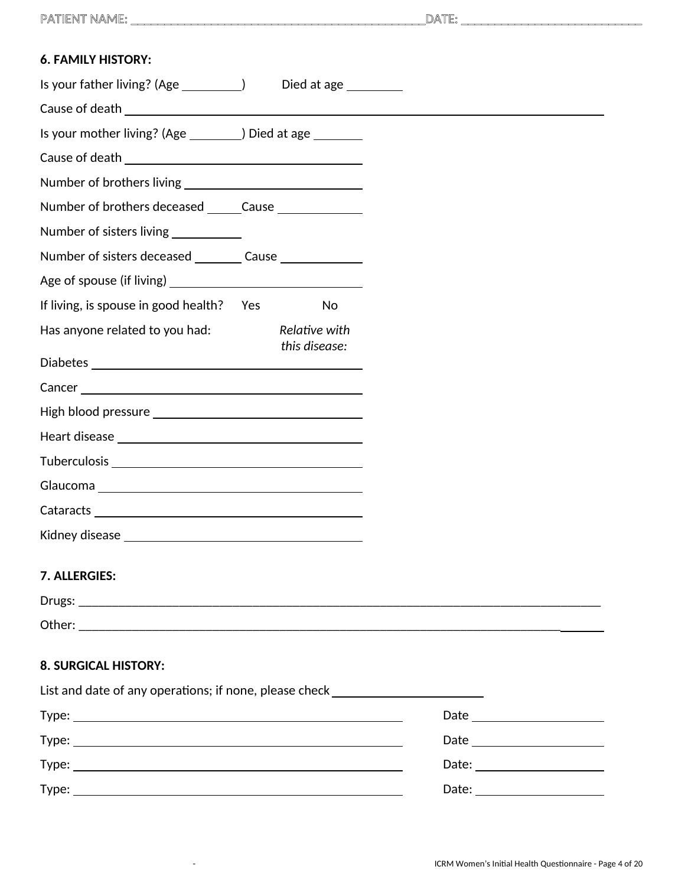PATIENT NAME: \_\_\_\_\_\_\_\_\_\_\_\_\_\_\_\_\_\_\_\_\_\_\_\_\_\_\_\_\_\_\_\_\_\_\_\_\_\_\_\_\_\_\_\_DATE: \_\_\_\_\_\_\_\_\_\_\_\_\_\_\_\_\_\_\_\_\_\_\_\_\_\_\_

| <b>6. FAMILY HISTORY:</b>                                                        |                                |  |  |
|----------------------------------------------------------------------------------|--------------------------------|--|--|
| Is your father living? (Age ____________)                                        | Died at age ________           |  |  |
|                                                                                  |                                |  |  |
| Is your mother living? (Age _________) Died at age ________                      |                                |  |  |
|                                                                                  |                                |  |  |
|                                                                                  |                                |  |  |
| Number of brothers deceased ______Cause _______________                          |                                |  |  |
| Number of sisters living ___________                                             |                                |  |  |
| Number of sisters deceased _________ Cause _______________                       |                                |  |  |
|                                                                                  |                                |  |  |
| If living, is spouse in good health? Yes                                         | <b>No</b>                      |  |  |
| Has anyone related to you had:                                                   | Relative with<br>this disease: |  |  |
|                                                                                  |                                |  |  |
|                                                                                  |                                |  |  |
|                                                                                  |                                |  |  |
|                                                                                  |                                |  |  |
|                                                                                  |                                |  |  |
|                                                                                  |                                |  |  |
|                                                                                  |                                |  |  |
|                                                                                  |                                |  |  |
| 7. ALLERGIES:                                                                    |                                |  |  |
|                                                                                  |                                |  |  |
|                                                                                  |                                |  |  |
| <b>8. SURGICAL HISTORY:</b>                                                      |                                |  |  |
| List and date of any operations; if none, please check _________________________ |                                |  |  |
|                                                                                  |                                |  |  |
|                                                                                  |                                |  |  |

Type: Date:

Type: Date:

| Date: |  |
|-------|--|
|       |  |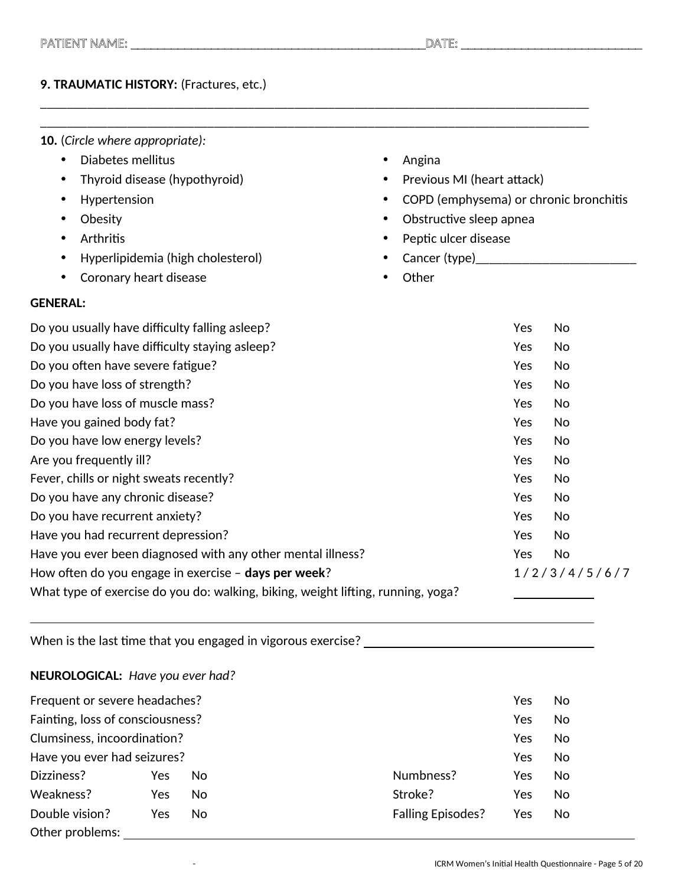### **9. TRAUMATIC HISTORY:** (Fractures, etc.)

- **10.** (*Circle where appropriate):*
	- Diabetes mellitus
	- Thyroid disease (hypothyroid)
	- Hypertension
	- Obesity
	- Arthritis
	- Hyperlipidemia (high cholesterol)
	- Coronary heart disease

### **GENERAL:**

- Angina
- Previous MI (heart attack)
- COPD (emphysema) or chronic bronchitis
- Obstructive sleep apnea
- Peptic ulcer disease
- Cancer (type)\_\_\_\_\_\_\_\_\_\_\_\_\_\_\_\_\_\_\_\_\_\_\_\_
- Other

| Do you usually have difficulty falling as leep?                                  | Yes | No            |
|----------------------------------------------------------------------------------|-----|---------------|
| Do you usually have difficulty staying asleep?                                   | Yes | No            |
| Do you often have severe fatigue?                                                | Yes | No            |
| Do you have loss of strength?                                                    | Yes | No            |
| Do you have loss of muscle mass?                                                 | Yes | No            |
| Have you gained body fat?                                                        | Yes | No            |
| Do you have low energy levels?                                                   | Yes | No            |
| Are you frequently ill?                                                          | Yes | No            |
| Fever, chills or night sweats recently?                                          | Yes | No            |
| Do you have any chronic disease?                                                 | Yes | No            |
| Do you have recurrent anxiety?                                                   | Yes | No            |
| Have you had recurrent depression?                                               | Yes | No            |
| Have you ever been diagnosed with any other mental illness?                      | Yes | No            |
| How often do you engage in exercise - days per week?                             |     | 1/2/3/4/5/6/7 |
| What type of exercise do you do: walking, biking, weight lifting, running, yoga? |     |               |

\_\_\_\_\_\_\_\_\_\_\_\_\_\_\_\_\_\_\_\_\_\_\_\_\_\_\_\_\_\_\_\_\_\_\_\_\_\_\_\_\_\_\_\_\_\_\_\_\_\_\_\_\_\_\_\_\_\_\_\_\_\_\_\_\_\_\_\_\_\_\_\_\_\_\_\_\_\_\_\_\_\_

When is the last time that you engaged in vigorous exercise?

**NEUROLOGICAL:** *Have you ever had?* 

| Frequent or severe headaches?    |     |     |                          | Yes | No |
|----------------------------------|-----|-----|--------------------------|-----|----|
| Fainting, loss of consciousness? |     |     |                          | Yes | No |
| Clumsiness, incoordination?      |     |     |                          | Yes | No |
| Have you ever had seizures?      |     |     |                          | Yes | No |
| Dizziness?                       | Yes | No. | Numbness?                | Yes | No |
| Weakness?                        | Yes | No. | Stroke?                  | Yes | No |
| Double vision?                   | Yes | No. | <b>Falling Episodes?</b> | Yes | No |
| Other problems:                  |     |     |                          |     |    |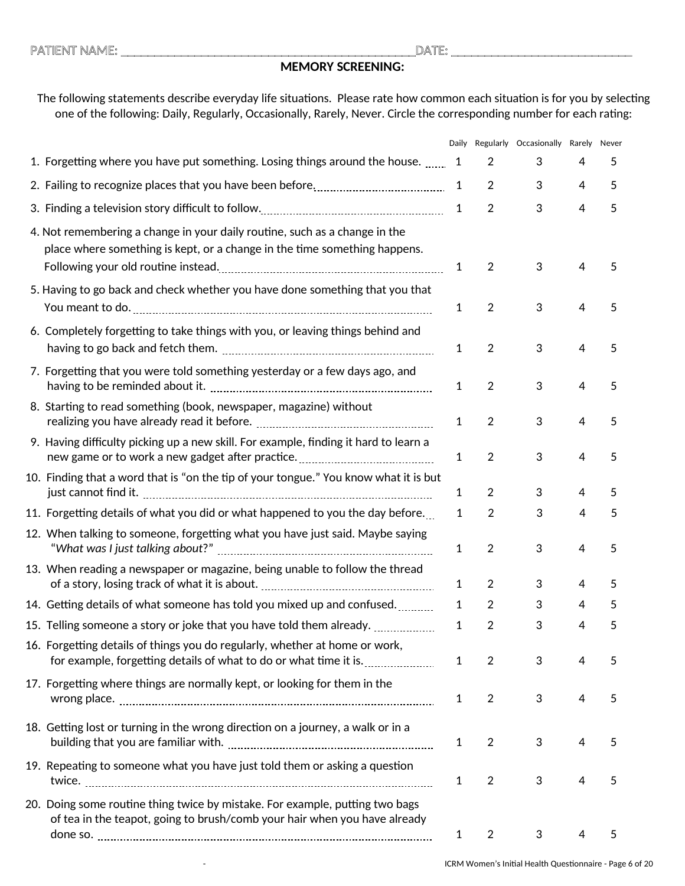# **MEMORY SCREENING:**

### The following statements describe everyday life situations. Please rate how common each situation is for you by selecting one of the following: Daily, Regularly, Occasionally, Rarely, Never. Circle the corresponding number for each rating:

|                                                                                                                                                           | Daily        |                | Regularly Occasionally Rarely Never |                |   |
|-----------------------------------------------------------------------------------------------------------------------------------------------------------|--------------|----------------|-------------------------------------|----------------|---|
| 1. Forgetting where you have put something. Losing things around the house.                                                                               | $\mathbf 1$  | $\overline{2}$ | 3                                   | 4              | 5 |
|                                                                                                                                                           | 1            | $\overline{2}$ | 3                                   | $\overline{4}$ | 5 |
|                                                                                                                                                           | $\mathbf{1}$ | $\overline{2}$ | 3                                   | $\overline{4}$ | 5 |
| 4. Not remembering a change in your daily routine, such as a change in the<br>place where something is kept, or a change in the time something happens.   | $\mathbf{1}$ | $\overline{2}$ | 3                                   | $\overline{4}$ | 5 |
| 5. Having to go back and check whether you have done something that you that                                                                              | 1            | $\overline{2}$ | 3                                   | $\overline{4}$ | 5 |
| 6. Completely forgetting to take things with you, or leaving things behind and                                                                            | $\mathbf{1}$ | $\overline{2}$ | 3                                   | $\overline{4}$ | 5 |
| 7. Forgetting that you were told something yesterday or a few days ago, and                                                                               | 1            | $\overline{2}$ | 3                                   | $\overline{4}$ | 5 |
| 8. Starting to read something (book, newspaper, magazine) without                                                                                         | 1            | $\overline{2}$ | 3                                   | $\overline{4}$ | 5 |
| 9. Having difficulty picking up a new skill. For example, finding it hard to learn a                                                                      | 1            | $\overline{2}$ | 3                                   | $\overline{4}$ | 5 |
| 10. Finding that a word that is "on the tip of your tongue." You know what it is but                                                                      | 1            | $\overline{2}$ | 3                                   | 4              | 5 |
| 11. Forgetting details of what you did or what happened to you the day before.                                                                            | 1            | $\overline{2}$ | 3                                   | 4              | 5 |
| 12. When talking to someone, forgetting what you have just said. Maybe saying                                                                             | 1            | $\overline{2}$ | 3                                   | $\overline{4}$ | 5 |
| 13. When reading a newspaper or magazine, being unable to follow the thread                                                                               | 1            | $\overline{2}$ | 3                                   | 4              | 5 |
| 14. Getting details of what someone has told you mixed up and confused                                                                                    | 1            | $\overline{2}$ | 3                                   | 4              | 5 |
| 15. Telling someone a story or joke that you have told them already.                                                                                      | 1            | 2              | 3                                   | 4              | 5 |
| 16. Forgetting details of things you do regularly, whether at home or work,                                                                               | 1            | $\overline{2}$ | 3                                   | 4              | 5 |
| 17. Forgetting where things are normally kept, or looking for them in the                                                                                 | 1            | $\overline{2}$ | 3                                   | $\overline{4}$ | 5 |
| 18. Getting lost or turning in the wrong direction on a journey, a walk or in a                                                                           | $\mathbf{1}$ | $\overline{2}$ | 3                                   | 4              | 5 |
| 19. Repeating to someone what you have just told them or asking a question                                                                                | 1            | $\overline{2}$ | 3                                   | 4              | 5 |
| 20. Doing some routine thing twice by mistake. For example, putting two bags<br>of tea in the teapot, going to brush/comb your hair when you have already | 1            | $\overline{2}$ | 3                                   | 4              | 5 |
|                                                                                                                                                           |              |                |                                     |                |   |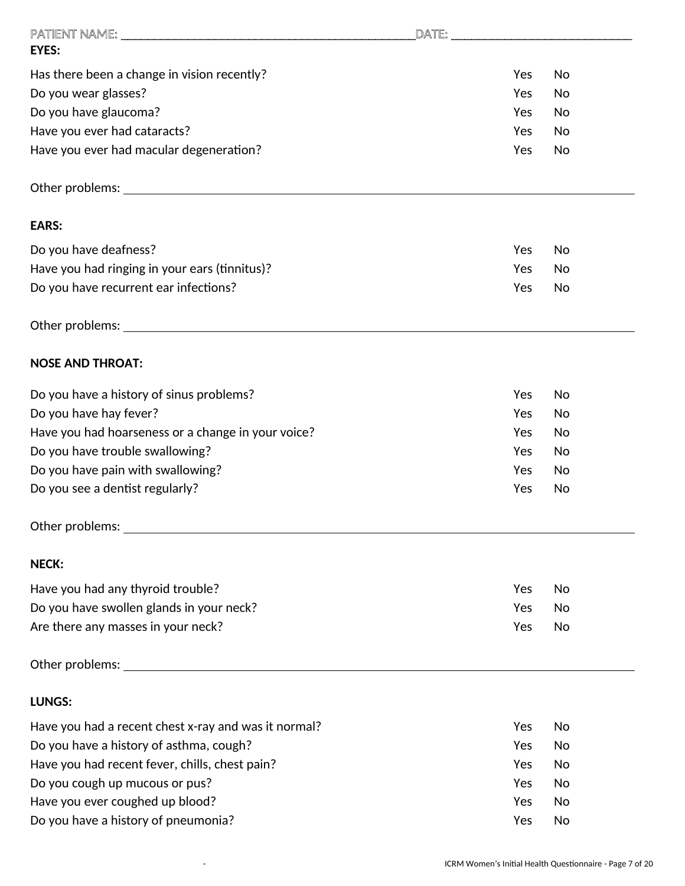|                                                                                                                                                                                                                               |     | DATE: 2008 - 2008 - 2008 - 2008 - 2008 - 2008 - 2008 - 2008 - 2008 - 2008 - 2008 - 2008 - 2008 - 2008 - 2008 - |
|-------------------------------------------------------------------------------------------------------------------------------------------------------------------------------------------------------------------------------|-----|----------------------------------------------------------------------------------------------------------------|
| <b>EYES:</b>                                                                                                                                                                                                                  |     |                                                                                                                |
| Has there been a change in vision recently?                                                                                                                                                                                   | Yes | No                                                                                                             |
| Do you wear glasses?                                                                                                                                                                                                          | Yes | No                                                                                                             |
| Do you have glaucoma?                                                                                                                                                                                                         | Yes | No                                                                                                             |
| Have you ever had cataracts?                                                                                                                                                                                                  | Yes | No                                                                                                             |
| Have you ever had macular degeneration?                                                                                                                                                                                       | Yes | No                                                                                                             |
| Other problems: University of the contract of the contract of the contract of the contract of the contract of                                                                                                                 |     |                                                                                                                |
| <b>EARS:</b>                                                                                                                                                                                                                  |     |                                                                                                                |
| Do you have deafness?                                                                                                                                                                                                         | Yes | No                                                                                                             |
| Have you had ringing in your ears (tinnitus)?                                                                                                                                                                                 | Yes | No                                                                                                             |
| Do you have recurrent ear infections?                                                                                                                                                                                         | Yes | No                                                                                                             |
| Other problems: University of the contract of the contract of the contract of the contract of the contract of the contract of the contract of the contract of the contract of the contract of the contract of the contract of |     |                                                                                                                |
| <b>NOSE AND THROAT:</b>                                                                                                                                                                                                       |     |                                                                                                                |
| Do you have a history of sinus problems?                                                                                                                                                                                      | Yes | No                                                                                                             |
| Do you have hay fever?                                                                                                                                                                                                        | Yes | No                                                                                                             |
| Have you had hoarseness or a change in your voice?                                                                                                                                                                            | Yes | No                                                                                                             |
| Do you have trouble swallowing?                                                                                                                                                                                               | Yes | No                                                                                                             |
| Do you have pain with swallowing?                                                                                                                                                                                             | Yes | No.                                                                                                            |
| Do you see a dentist regularly?                                                                                                                                                                                               | Yes | No                                                                                                             |
| Other problems: University of the contract of the contract of the contract of the contract of the contract of                                                                                                                 |     |                                                                                                                |
| <b>NECK:</b>                                                                                                                                                                                                                  |     |                                                                                                                |
| Have you had any thyroid trouble?                                                                                                                                                                                             | Yes | No                                                                                                             |
| Do you have swollen glands in your neck?                                                                                                                                                                                      | Yes | No                                                                                                             |
| Are there any masses in your neck?                                                                                                                                                                                            | Yes | No                                                                                                             |
|                                                                                                                                                                                                                               |     |                                                                                                                |
| <b>LUNGS:</b>                                                                                                                                                                                                                 |     |                                                                                                                |
| Have you had a recent chest x-ray and was it normal?                                                                                                                                                                          | Yes | No                                                                                                             |
| Do you have a history of asthma, cough?                                                                                                                                                                                       | Yes | No                                                                                                             |
| Have you had recent fever, chills, chest pain?                                                                                                                                                                                | Yes | No                                                                                                             |
| Do you cough up mucous or pus?                                                                                                                                                                                                | Yes | No                                                                                                             |
| Have you ever coughed up blood?                                                                                                                                                                                               | Yes | No                                                                                                             |
| Do you have a history of pneumonia?                                                                                                                                                                                           | Yes | No                                                                                                             |
|                                                                                                                                                                                                                               |     |                                                                                                                |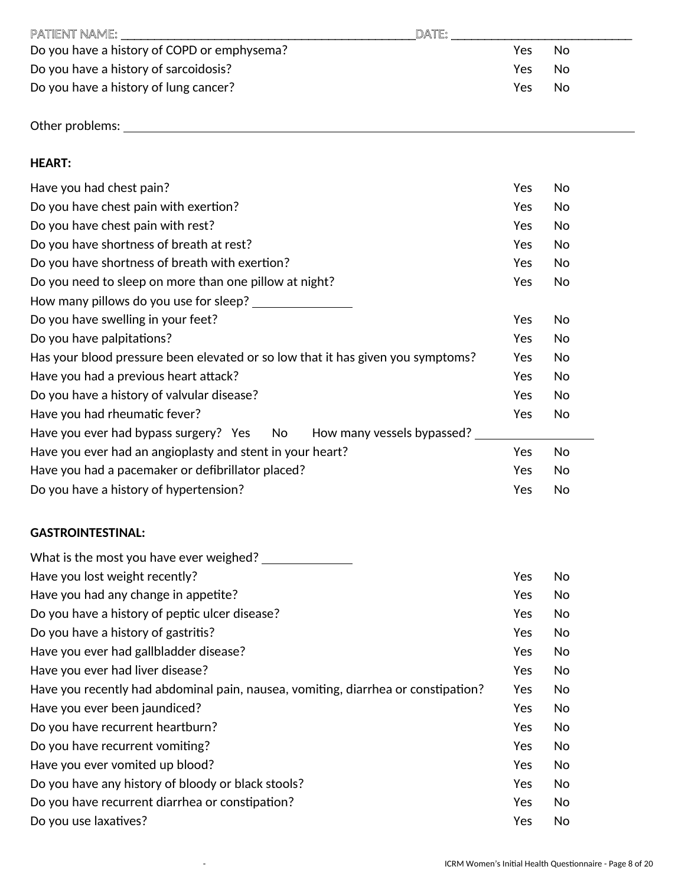| PATIENT NAME:                               | DATE: |      |     |
|---------------------------------------------|-------|------|-----|
| Do you have a history of COPD or emphysema? |       | Yes  | No  |
| Do you have a history of sarcoidosis?       |       | Yes. | No  |
| Do you have a history of lung cancer?       |       | Yes. | No. |
|                                             |       |      |     |

Other problems:

## **HEART:**

| Have you had chest pain?                                                        | Yes | No |
|---------------------------------------------------------------------------------|-----|----|
| Do you have chest pain with exertion?                                           | Yes | No |
| Do you have chest pain with rest?                                               | Yes | No |
| Do you have shortness of breath at rest?                                        | Yes | No |
| Do you have shortness of breath with exertion?                                  | Yes | No |
| Do you need to sleep on more than one pillow at night?                          | Yes | No |
| How many pillows do you use for sleep?                                          |     |    |
| Do you have swelling in your feet?                                              | Yes | No |
| Do you have palpitations?                                                       | Yes | No |
| Has your blood pressure been elevated or so low that it has given you symptoms? | Yes | No |
| Have you had a previous heart attack?                                           | Yes | No |
| Do you have a history of valvular disease?                                      | Yes | No |
| Have you had rheumatic fever?                                                   | Yes | No |
| How many vessels bypassed?<br>Have you ever had bypass surgery? Yes<br>No       |     |    |
| Have you ever had an angioplasty and stent in your heart?                       | Yes | No |
| Have you had a pacemaker or defibrillator placed?                               | Yes | No |
| Do you have a history of hypertension?                                          | Yes | No |

## **GASTROINTESTINAL:**

| What is the most you have ever weighed?                                           |            |    |
|-----------------------------------------------------------------------------------|------------|----|
| Have you lost weight recently?                                                    | Yes        | No |
| Have you had any change in appetite?                                              | <b>Yes</b> | No |
| Do you have a history of peptic ulcer disease?                                    | <b>Yes</b> | No |
| Do you have a history of gastritis?                                               | <b>Yes</b> | No |
| Have you ever had gallbladder disease?                                            | Yes        | No |
| Have you ever had liver disease?                                                  | <b>Yes</b> | No |
| Have you recently had abdominal pain, nausea, vomiting, diarrhea or constipation? | Yes        | No |
| Have you ever been jaundiced?                                                     | Yes        | No |
| Do you have recurrent heartburn?                                                  | Yes        | No |
| Do you have recurrent vomiting?                                                   | <b>Yes</b> | No |
| Have you ever vomited up blood?                                                   | <b>Yes</b> | No |
| Do you have any history of bloody or black stools?                                | Yes        | No |
| Do you have recurrent diarrhea or constipation?                                   | Yes        | No |
| Do you use laxatives?                                                             | Yes        | No |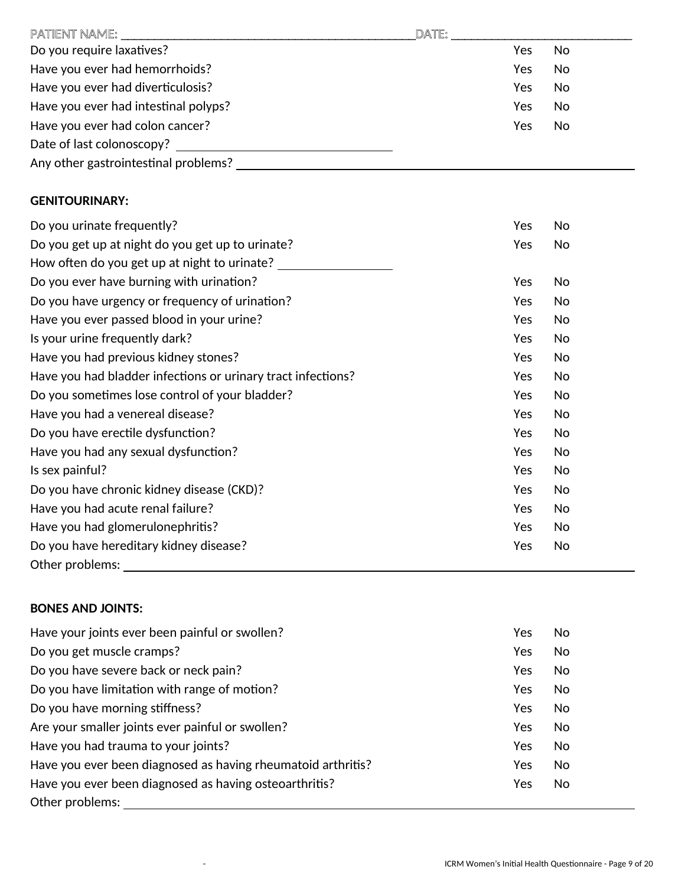| PATIENT NAME:                        | DATE: |     |    |
|--------------------------------------|-------|-----|----|
| Do you require laxatives?            |       | Yes | No |
| Have you ever had hemorrhoids?       |       | Yes | No |
| Have you ever had diverticulosis?    |       | Yes | No |
| Have you ever had intestinal polyps? |       | Yes | No |
| Have you ever had colon cancer?      |       | Yes | No |
| Date of last colonoscopy?            |       |     |    |
| Any other gastrointestinal problems? |       |     |    |

## **GENITOURINARY:**

| Do you urinate frequently?                                   | Yes | No |
|--------------------------------------------------------------|-----|----|
| Do you get up at night do you get up to urinate?             | Yes | No |
| How often do you get up at night to urinate?                 |     |    |
| Do you ever have burning with urination?                     | Yes | No |
| Do you have urgency or frequency of urination?               | Yes | No |
| Have you ever passed blood in your urine?                    | Yes | No |
| Is your urine frequently dark?                               | Yes | No |
| Have you had previous kidney stones?                         | Yes | No |
| Have you had bladder infections or urinary tract infections? | Yes | No |
| Do you sometimes lose control of your bladder?               | Yes | No |
| Have you had a venereal disease?                             | Yes | No |
| Do you have erectile dysfunction?                            | Yes | No |
| Have you had any sexual dysfunction?                         | Yes | No |
| Is sex painful?                                              | Yes | No |
| Do you have chronic kidney disease (CKD)?                    | Yes | No |
| Have you had acute renal failure?                            | Yes | No |
| Have you had glomerulonephritis?                             | Yes | No |
| Do you have hereditary kidney disease?                       | Yes | No |
| Other problems:                                              |     |    |

### **BONES AND JOINTS:**

| Have your joints ever been painful or swollen?               | Yes | No |
|--------------------------------------------------------------|-----|----|
| Do you get muscle cramps?                                    | Yes | No |
| Do you have severe back or neck pain?                        | Yes | No |
| Do you have limitation with range of motion?                 | Yes | No |
| Do you have morning stiffness?                               | Yes | No |
| Are your smaller joints ever painful or swollen?             | Yes | No |
| Have you had trauma to your joints?                          | Yes | No |
| Have you ever been diagnosed as having rheumatoid arthritis? | Yes | No |
| Have you ever been diagnosed as having osteoarthritis?       | Yes | No |
| Other problems:                                              |     |    |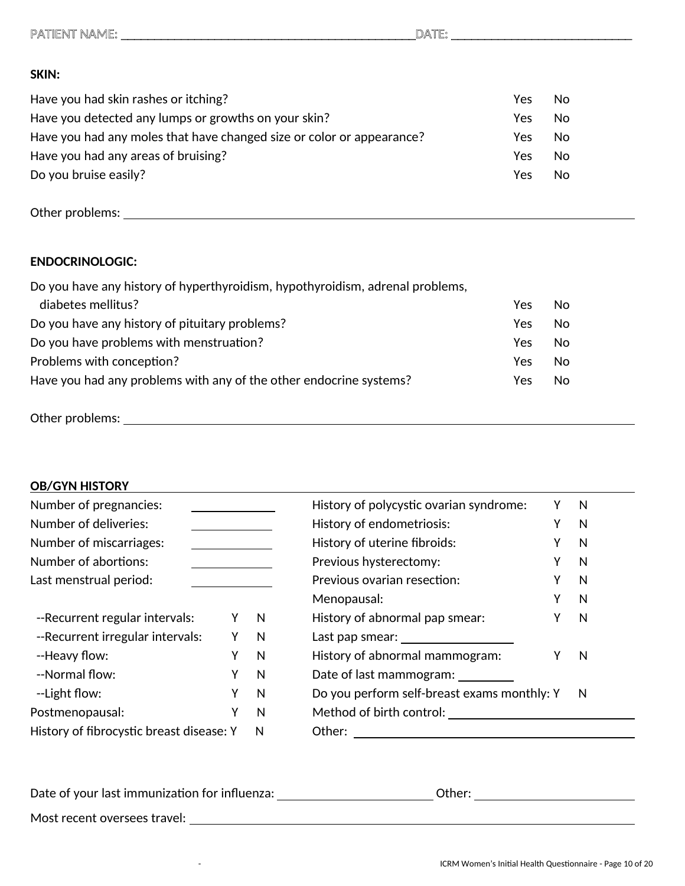## PATIENT NAME: \_\_\_\_\_\_\_\_\_\_\_\_\_\_\_\_\_\_\_\_\_\_\_\_\_\_\_\_\_\_\_\_\_\_\_\_\_\_\_\_\_\_\_\_DATE: \_\_\_\_\_\_\_\_\_\_\_\_\_\_\_\_\_\_\_\_\_\_\_\_\_\_\_

### **SKIN:**

| Have you had skin rashes or itching?                                  | Yes | No. |
|-----------------------------------------------------------------------|-----|-----|
| Have you detected any lumps or growths on your skin?                  | Yes | No. |
| Have you had any moles that have changed size or color or appearance? | Yes | No. |
| Have you had any areas of bruising?                                   | Yes | No. |
| Do you bruise easily?                                                 | Yes | No. |

Other problems:

### **ENDOCRINOLOGIC:**

Do you have any history of hyperthyroidism, hypothyroidism, adrenal problems, diabetes mellitus? Yes No Do you have any history of pituitary problems? The Most Constant of the Ves No Do you have problems with menstruation? The state of the state of the North State of North State of North State of North State of North State of North State of North State of North State of North State of North State of No Problems with conception? The state of the state of the state of the state of the state of the state of the state of the state of the state of the state of the state of the state of the state of the state of the state of t Have you had any problems with any of the other endocrine systems? The Mes No

Other problems: The contract of the contract of the contract of the contract of the contract of the contract of the contract of the contract of the contract of the contract of the contract of the contract of the contract o

### **OB/GYN HISTORY**

| Number of pregnancies:                   |   |   | History of polycystic ovarian syndrome:     |   | N |
|------------------------------------------|---|---|---------------------------------------------|---|---|
| Number of deliveries:                    |   |   | History of endometriosis:                   | Υ | N |
| Number of miscarriages:                  |   |   | History of uterine fibroids:                | Υ | N |
| Number of abortions:                     |   |   | Previous hysterectomy:                      | Υ | N |
| Last menstrual period:                   |   |   | Previous ovarian resection:                 | Υ | N |
|                                          |   |   | Menopausal:                                 | Υ | N |
| --Recurrent regular intervals:           | Y | N | History of abnormal pap smear:              | Υ | N |
| --Recurrent irregular intervals:         | γ | N | Last pap smear: University                  |   |   |
| --Heavy flow:                            | γ | N | History of abnormal mammogram:              |   | N |
| --Normal flow:                           | Y | N | Date of last mammogram:                     |   |   |
| --Light flow:                            | Y | N | Do you perform self-breast exams monthly: Y |   | N |
| Postmenopausal:                          | γ | N | Method of birth control:                    |   |   |
| History of fibrocystic breast disease: Y |   | N | Other:                                      |   |   |

Date of your last immunization for influenza: University Communication of the control of the control of the co

Most recent oversees travel: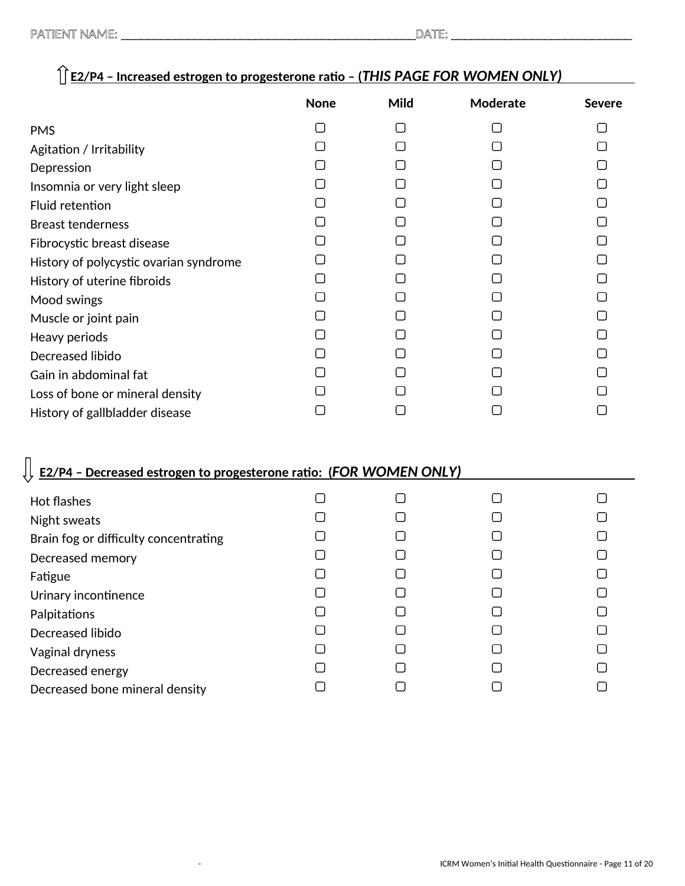Decreased bone mineral density

|                                                                           | <b>None</b> | Mild                | Moderate | <b>Severe</b> |
|---------------------------------------------------------------------------|-------------|---------------------|----------|---------------|
| <b>PMS</b>                                                                | О           | $\Box$              | □        | ∩             |
| Agitation / Irritability                                                  | П           | П                   | $\Box$   | П             |
| Depression                                                                |             |                     |          |               |
| Insomnia or very light sleep                                              |             |                     |          |               |
| Fluid retention                                                           |             |                     |          |               |
| <b>Breast tenderness</b>                                                  |             |                     |          |               |
| Fibrocystic breast disease                                                | ſΙ          | $\mathsf{L}$        |          | П             |
| History of polycystic ovarian syndrome                                    |             |                     |          |               |
| History of uterine fibroids                                               |             |                     |          |               |
| Mood swings                                                               |             |                     |          |               |
| Muscle or joint pain                                                      | l 1         |                     |          |               |
| Heavy periods                                                             |             |                     |          |               |
| Decreased libido                                                          |             |                     |          | l 1           |
| Gain in abdominal fat                                                     |             |                     |          |               |
| Loss of bone or mineral density                                           |             |                     |          |               |
| History of gallbladder disease                                            | O           | ∩                   | []       |               |
| <b>E2/P4 - Decreased estrogen to progesterone ratio: (FOR WOMEN ONLY)</b> |             |                     |          |               |
| <b>Hot flashes</b>                                                        | ∩           | $\Box$              | $\Box$   | П             |
| Night sweats                                                              | l 1         | l 1                 |          |               |
| Brain fog or difficulty concentrating                                     |             |                     |          |               |
| Decreased memory                                                          |             |                     |          |               |
| Fatigue                                                                   |             | $\lfloor \ \rfloor$ |          |               |
| Urinary incontinence                                                      | П           | $\Box$              | □        |               |
| Palpitations                                                              |             |                     |          |               |
| Decreased libido                                                          |             |                     |          |               |
| Vaginal dryness                                                           |             | l 1                 |          |               |
| Decreased energy                                                          | ΙI          | O                   | □        |               |

 $\Box$ 

 $\Box$ 

# **E2/P4 – Increased estrogen to progesterone ratio – (***THIS PAGE FOR WOMEN ONLY)*

 $\Box$ 

 $\Box$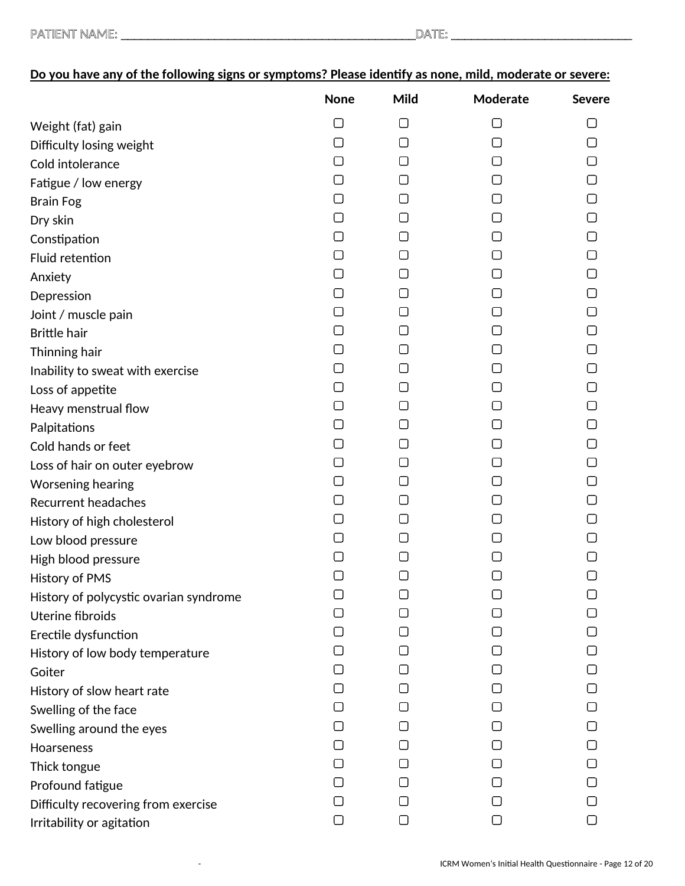| PATIENT NAME: |  |
|---------------|--|
|---------------|--|

|                                        | <b>None</b> | Mild                | Moderate     | <b>Severe</b> |
|----------------------------------------|-------------|---------------------|--------------|---------------|
| Weight (fat) gain                      | □           | 0                   | 1 I          |               |
| Difficulty losing weight               | □           | О                   | □            | ▢             |
| Cold intolerance                       | 1 I         | $\Box$              | 1 I          |               |
| Fatigue / low energy                   | ∩           | $\Box$              | l 1          | $\Box$        |
| <b>Brain Fog</b>                       | []          | $\Box$              |              |               |
| Dry skin                               | □           | ∩                   |              | ∩             |
| Constipation                           | П           | ⊓                   | l 1          | ▢             |
| Fluid retention                        | $\Box$      | $\Box$              | 1 I          | ∩             |
| Anxiety                                | ∩           | $\Box$              | l 1          | ∩             |
| Depression                             | П           | $\mathsf{L}$        |              |               |
| Joint / muscle pain                    | $\Box$      | $\Box$              |              | ∩             |
| <b>Brittle hair</b>                    | ⊓           | $\Box$              | l 1          | □             |
| Thinning hair                          | ∩           | ∩                   | 1 I          |               |
| Inability to sweat with exercise       | ∩           | $\Box$              | l 1          |               |
| Loss of appetite                       | []          | ιI                  | $\mathsf{L}$ | $\Box$        |
| Heavy menstrual flow                   | $\Box$      | $\Box$              |              | ∩             |
| Palpitations                           | []          | $\Box$              | $\mathsf{L}$ | □             |
| Cold hands or feet                     | ⊓           | ∩                   | l 1          |               |
| Loss of hair on outer eyebrow          | П           | U                   | l 1          | $\Box$        |
| Worsening hearing                      | $\Box$      | U                   | l 1          | ⊓             |
| <b>Recurrent headaches</b>             | ⊓           | ∩                   |              |               |
| History of high cholesterol            | ⊓           | O                   | l 1          | □             |
| Low blood pressure                     | ⊓           | ∩                   | l 1          |               |
| High blood pressure                    | U           | □                   |              |               |
| <b>History of PMS</b>                  | □           | $\Box$              | □            | $\Box$        |
| History of polycystic ovarian syndrome | П           | $\lfloor \ \rfloor$ |              |               |
| <b>Uterine fibroids</b>                |             |                     |              |               |
| Erectile dysfunction                   |             |                     |              |               |
| History of low body temperature        |             | $\mathsf{L}$        |              |               |
| Goiter                                 |             |                     |              |               |
| History of slow heart rate             |             |                     |              |               |
| Swelling of the face                   |             |                     |              |               |
| Swelling around the eyes               |             | $\mathsf{L}$        |              |               |
| Hoarseness                             |             | $\Box$              |              |               |
| Thick tongue                           | l 1         |                     |              |               |
| Profound fatigue                       |             |                     |              |               |
| Difficulty recovering from exercise    |             |                     |              |               |
| Irritability or agitation              | □           | ▢                   | U            | О             |

# **Do you have any of the following signs or symptoms? Please identify as none, mild, moderate or severe:**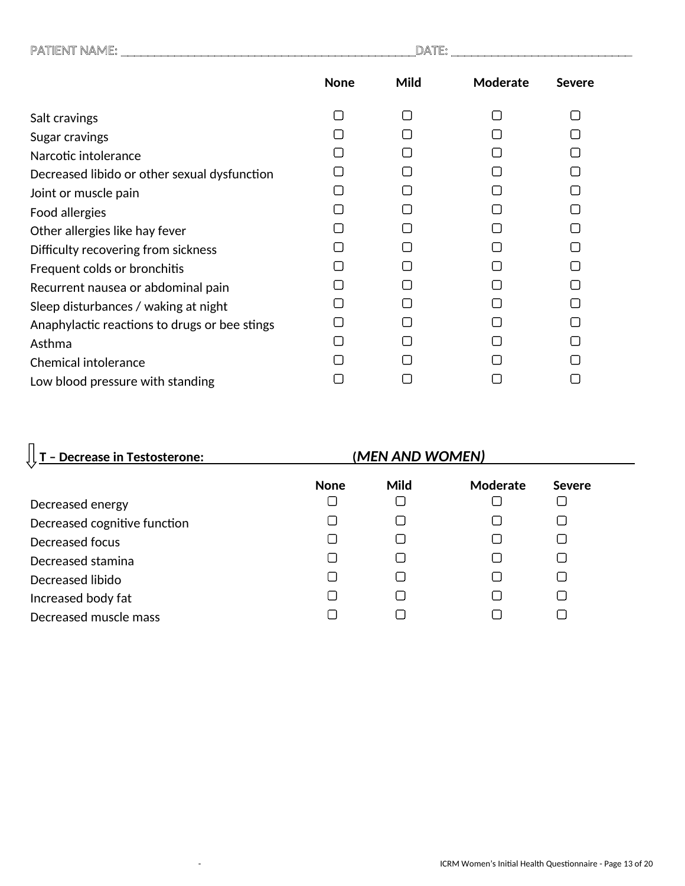| PATIENT NAME:                                 | DATE:       |      |          |               |  |
|-----------------------------------------------|-------------|------|----------|---------------|--|
|                                               | <b>None</b> | Mild | Moderate | <b>Severe</b> |  |
| Salt cravings                                 |             | П    | $\Box$   | ⊓             |  |
| Sugar cravings                                |             |      |          |               |  |
| Narcotic intolerance                          |             |      |          |               |  |
| Decreased libido or other sexual dysfunction  |             |      |          |               |  |
| Joint or muscle pain                          |             | П    |          |               |  |
| Food allergies                                |             |      |          |               |  |
| Other allergies like hay fever                |             |      |          |               |  |
| Difficulty recovering from sickness           |             |      |          |               |  |
| Frequent colds or bronchitis                  |             |      |          |               |  |
| Recurrent nausea or abdominal pain            |             |      |          |               |  |
| Sleep disturbances / waking at night          |             |      |          |               |  |
| Anaphylactic reactions to drugs or bee stings |             |      |          |               |  |
| Asthma                                        |             |      |          |               |  |
| <b>Chemical intolerance</b>                   |             |      |          |               |  |
| Low blood pressure with standing              |             |      |          |               |  |

# **T – Decrease in Testosterone: (***MEN AND WOMEN)*

|                              | <b>None</b> | <b>Mild</b>    | Moderate | <b>Severe</b> |
|------------------------------|-------------|----------------|----------|---------------|
| Decreased energy             |             |                |          |               |
| Decreased cognitive function | $\Box$      |                |          |               |
| Decreased focus              | П           | $\Box$         |          |               |
| Decreased stamina            | $\Box$      |                |          |               |
| Decreased libido             | П           | $\sim$         |          |               |
| Increased body fat           | $\Box$      | $\blacksquare$ |          |               |
| Decreased muscle mass        |             |                |          |               |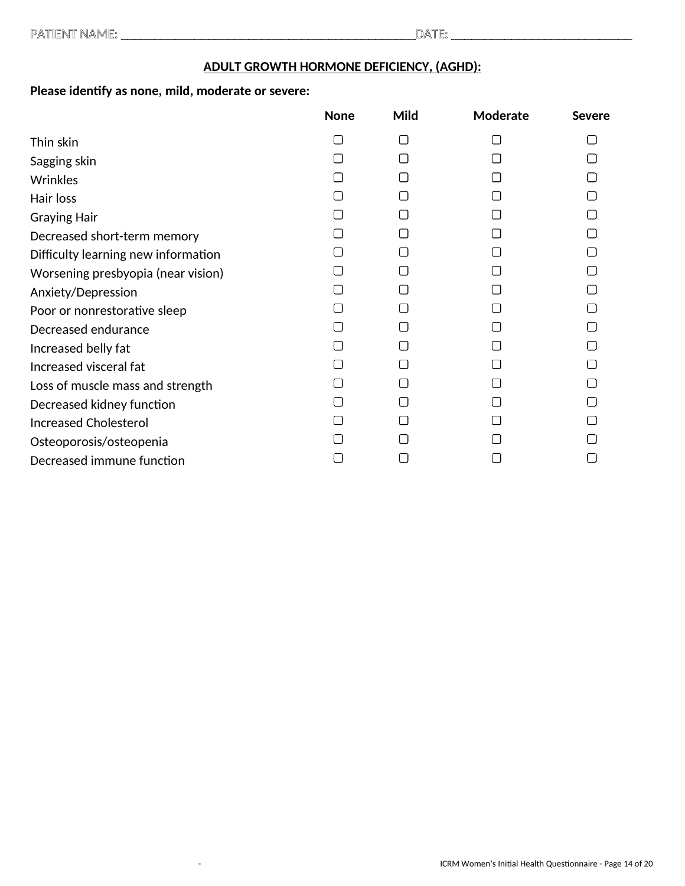### **ADULT GROWTH HORMONE DEFICIENCY, (AGHD):**

# **Please identify as none, mild, moderate or severe:**

|                                     | <b>None</b> | Mild   | Moderate | <b>Severe</b> |
|-------------------------------------|-------------|--------|----------|---------------|
| Thin skin                           |             | $\Box$ |          |               |
| Sagging skin                        |             | ſΙ     |          |               |
| <b>Wrinkles</b>                     |             |        |          |               |
| Hair loss                           |             |        |          |               |
| <b>Graying Hair</b>                 |             |        |          |               |
| Decreased short-term memory         |             |        |          |               |
| Difficulty learning new information |             |        |          |               |
| Worsening presbyopia (near vision)  |             |        |          |               |
| Anxiety/Depression                  |             |        |          |               |
| Poor or nonrestorative sleep        |             |        |          |               |
| Decreased endurance                 |             |        |          |               |
| Increased belly fat                 |             |        |          |               |
| Increased visceral fat              |             |        |          |               |
| Loss of muscle mass and strength    |             |        |          |               |
| Decreased kidney function           |             |        |          |               |
| <b>Increased Cholesterol</b>        |             |        |          |               |
| Osteoporosis/osteopenia             |             |        |          |               |
| Decreased immune function           |             |        |          |               |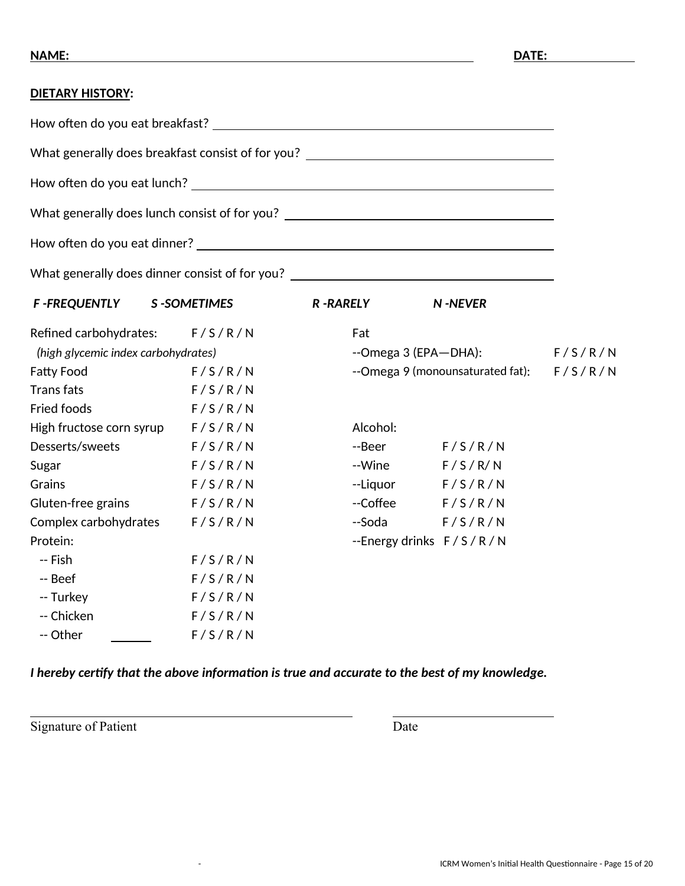### **DIETARY HISTORY:**

How often do you eat breakfast?

What generally does breakfast consist of for you?

How often do you eat lunch?

What generally does lunch consist of for you? \_\_\_\_\_\_\_\_\_\_\_\_\_\_\_\_\_\_\_\_\_\_\_\_\_\_\_\_\_\_\_\_\_\_

How often do you eat dinner?

What generally does dinner consist of for you? \_\_\_\_\_\_\_\_\_\_\_\_\_\_\_\_\_\_\_\_\_\_\_\_\_\_\_\_\_\_\_\_\_

| <b>F-FREQUENTLY</b>                 | S-SOMETIMES | <b>R-RARELY</b>           | <b>N-NEVER</b>                   |         |
|-------------------------------------|-------------|---------------------------|----------------------------------|---------|
| Refined carbohydrates:              | F/S/R/N     | Fat                       |                                  |         |
| (high glycemic index carbohydrates) |             | --Omega 3 (EPA-DHA):      |                                  | F/S/R/N |
| <b>Fatty Food</b>                   | F/S/R/N     |                           | --Omega 9 (monounsaturated fat): | F/S/R/N |
| <b>Trans fats</b>                   | F/S/R/N     |                           |                                  |         |
| <b>Fried foods</b>                  | F/S/R/N     |                           |                                  |         |
| High fructose corn syrup            | F/S/R/N     | Alcohol:                  |                                  |         |
| Desserts/sweets                     | F/S/R/N     | --Beer                    | F/S/R/N                          |         |
| Sugar                               | F/S/R/N     | --Wine                    | F/S/R/N                          |         |
| Grains                              | F/S/R/N     | --Liquor                  | F/S/R/N                          |         |
| Gluten-free grains                  | F/S/R/N     | --Coffee                  | F/S/R/N                          |         |
| Complex carbohydrates               | F/S/R/N     | --Soda                    | F/S/R/N                          |         |
| Protein:                            |             | --Energy drinks $F/S/R/N$ |                                  |         |
| -- Fish                             | F/S/R/N     |                           |                                  |         |
| -- Beef                             | F/S/R/N     |                           |                                  |         |
| -- Turkey                           | F/S/R/N     |                           |                                  |         |
| -- Chicken                          | F/S/R/N     |                           |                                  |         |
| -- Other                            | F/S/R/N     |                           |                                  |         |

### *I hereby certify that the above information is true and accurate to the best of my knowledge.*

Signature of Patient Date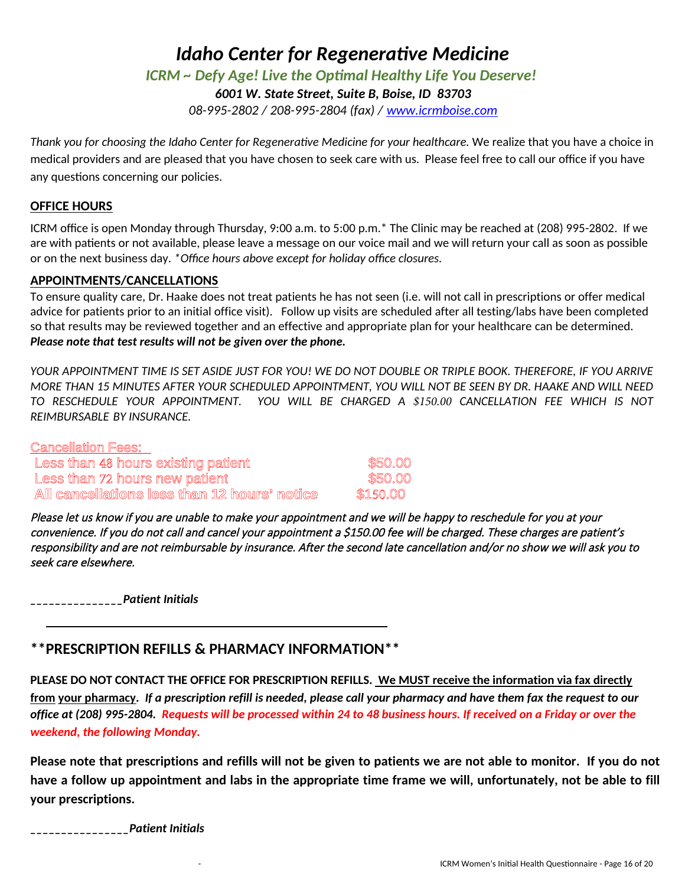# *ICRM ~ Defy Age! Live the Optimal Healthy Life You Deserve!*

*6001 W. State Street, Suite B, Boise, ID 83703* 

*08-995-2802 / 208-995-2804 (fax) / www.icrmboise.com*

*Thank you for choosing the Idaho Center for Regenerative Medicine for your healthcare.* We realize that you have a choice in medical providers and are pleased that you have chosen to seek care with us. Please feel free to call our office if you have any questions concerning our policies.

### **OFFICE HOURS**

ICRM office is open Monday through Thursday, 9:00 a.m. to 5:00 p.m.\* The Clinic may be reached at (208) 995-2802. If we are with patients or not available, please leave a message on our voice mail and we will return your call as soon as possible or on the next business day. *\*Office hours above except for holiday office closures.*

### **APPOINTMENTS/CANCELLATIONS**

To ensure quality care, Dr. Haake does not treat patients he has not seen (i.e. will not call in prescriptions or offer medical advice for patients prior to an initial office visit). Follow up visits are scheduled after all testing/labs have been completed so that results may be reviewed together and an effective and appropriate plan for your healthcare can be determined. *Please note that test results will not be given over the phone.* 

*YOUR APPOINTMENT TIME IS SET ASIDE JUST FOR YOU! WE DO NOT DOUBLE OR TRIPLE BOOK. THEREFORE, IF YOU ARRIVE MORE THAN 15 MINUTES AFTER YOUR SCHEDULED APPOINTMENT, YOU WILL NOT BE SEEN BY DR. HAAKE AND WILL NEED TO RESCHEDULE YOUR APPOINTMENT. YOU WILL BE CHARGED A \$150.00 CANCELLATION FEE WHICH IS NOT REIMBURSABLE BY INSURANCE.* 

| <b>Cancellation Fees:</b>                    |          |
|----------------------------------------------|----------|
| Less than 48 hours existing patient          | \$50,00  |
| Less than 72 hours new patient               | \$50.00  |
| All cancellations less than 12 hours' notice | \$150.00 |

Please let us know if you are unable to make your appointment and we will be happy to reschedule for you at your convenience. If you do not call and cancel your appointment a \$150.00 fee will be charged. These charges are patient's responsibility and are not reimbursable by insurance. After the second late cancellation and/or no show we will ask you to seek care elsewhere.

*\_\_\_\_\_\_\_\_\_\_\_\_\_\_\_Patient Initials* 

## **\*\*PRESCRIPTION REFILLS & PHARMACY INFORMATION\*\***

**PLEASE DO NOT CONTACT THE OFFICE FOR PRESCRIPTION REFILLS. We MUST receive the information via fax directly from your pharmacy.** *If a prescription refill is needed, please call your pharmacy and have them fax the request to our office at (208) 995-2804.**Requests will be processed within 24 to 48 business hours. If received on a Friday or over the weekend, the following Monday.*

**Please note that prescriptions and refills will not be given to patients we are not able to monitor. If you do not have a follow up appointment and labs in the appropriate time frame we will, unfortunately, not be able to fill your prescriptions.** 

*\_\_\_\_\_\_\_\_\_\_\_\_\_\_\_\_Patient Initials*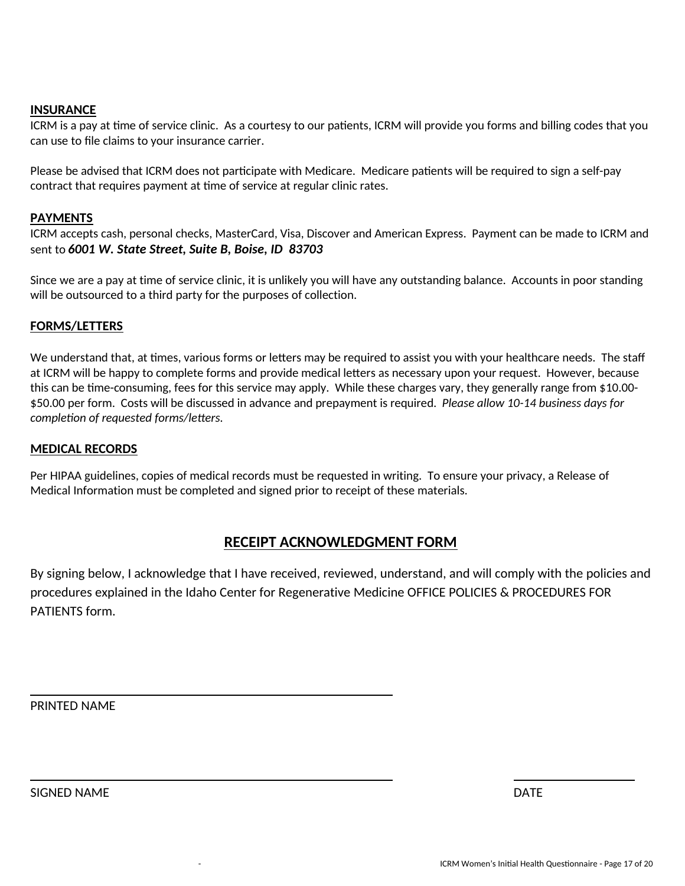### **INSURANCE**

ICRM is a pay at time of service clinic. As a courtesy to our patients, ICRM will provide you forms and billing codes that you can use to file claims to your insurance carrier.

Please be advised that ICRM does not participate with Medicare. Medicare patients will be required to sign a self-pay contract that requires payment at time of service at regular clinic rates.

#### **PAYMENTS**

ICRM accepts cash, personal checks, MasterCard, Visa, Discover and American Express. Payment can be made to ICRM and sent to *6001 W. State Street, Suite B, Boise, ID 83703* 

Since we are a pay at time of service clinic, it is unlikely you will have any outstanding balance. Accounts in poor standing will be outsourced to a third party for the purposes of collection.

#### **FORMS/LETTERS**

We understand that, at times, various forms or letters may be required to assist you with your healthcare needs. The staff at ICRM will be happy to complete forms and provide medical letters as necessary upon your request. However, because this can be time-consuming, fees for this service may apply. While these charges vary, they generally range from \$10.00- \$50.00 per form. Costs will be discussed in advance and prepayment is required. *Please allow 10-14 business days for completion of requested forms/letters.* 

#### **MEDICAL RECORDS**

Per HIPAA guidelines, copies of medical records must be requested in writing. To ensure your privacy, a Release of Medical Information must be completed and signed prior to receipt of these materials.

### **RECEIPT ACKNOWLEDGMENT FORM**

By signing below, I acknowledge that I have received, reviewed, understand, and will comply with the policies and procedures explained in the Idaho Center for Regenerative Medicine OFFICE POLICIES & PROCEDURES FOR PATIENTS form.

PRINTED NAME

SIGNED NAME DATE OF THE SERVICE SERVICE SERVICE SERVICE SERVICE SERVICE SERVICE SERVICE SERVICE SERVICE SERVICE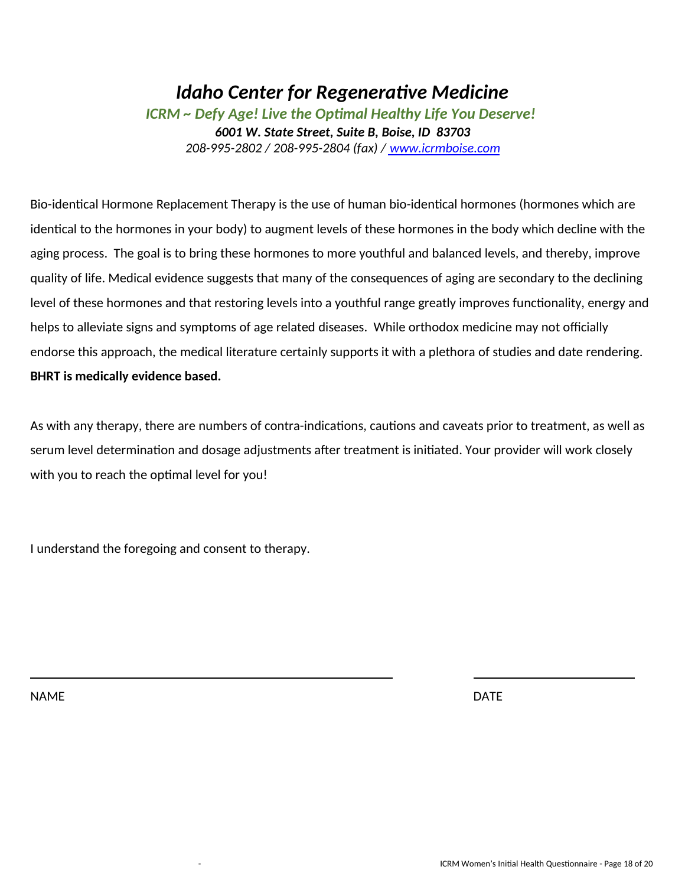# *Idaho Center for Regenerative Medicine ICRM ~ Defy Age! Live the Optimal Healthy Life You Deserve! 6001 W. State Street, Suite B, Boise, ID 83703 208-995-2802 / 208-995-2804 (fax) / www.icrmboise.com*

Bio-identical Hormone Replacement Therapy is the use of human bio-identical hormones (hormones which are identical to the hormones in your body) to augment levels of these hormones in the body which decline with the aging process. The goal is to bring these hormones to more youthful and balanced levels, and thereby, improve quality of life. Medical evidence suggests that many of the consequences of aging are secondary to the declining level of these hormones and that restoring levels into a youthful range greatly improves functionality, energy and helps to alleviate signs and symptoms of age related diseases. While orthodox medicine may not officially endorse this approach, the medical literature certainly supports it with a plethora of studies and date rendering. **BHRT is medically evidence based.** 

As with any therapy, there are numbers of contra-indications, cautions and caveats prior to treatment, as well as serum level determination and dosage adjustments after treatment is initiated. Your provider will work closely with you to reach the optimal level for you!

I understand the foregoing and consent to therapy.

NAME DATE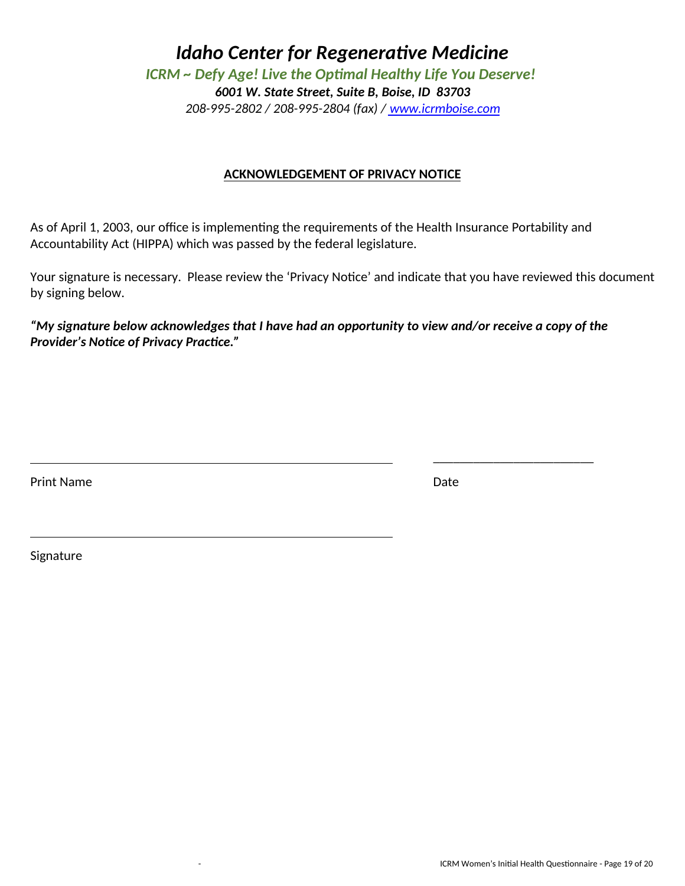*ICRM ~ Defy Age! Live the Optimal Healthy Life You Deserve!* 

*6001 W. State Street, Suite B, Boise, ID 83703* 

*208-995-2802 / 208-995-2804 (fax) / www.icrmboise.com*

### **ACKNOWLEDGEMENT OF PRIVACY NOTICE**

As of April 1, 2003, our office is implementing the requirements of the Health Insurance Portability and Accountability Act (HIPPA) which was passed by the federal legislature.

Your signature is necessary. Please review the 'Privacy Notice' and indicate that you have reviewed this document by signing below.

*"My signature below acknowledges that I have had an opportunity to view and/or receive a copy of the Provider's Notice of Privacy Practice."* 

Print Name Date **Date** 

\_\_\_\_\_\_\_\_\_\_\_\_\_\_\_\_\_\_\_\_\_\_\_\_

Signature